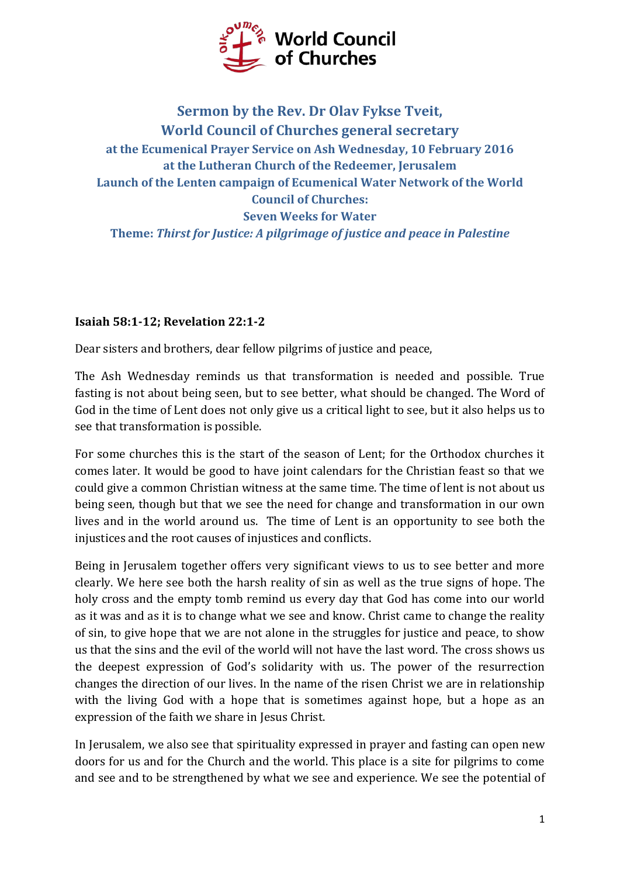

## **Sermon by the Rev. Dr Olav Fykse Tveit, World Council of Churches general secretary at the Ecumenical Prayer Service on Ash Wednesday, 10 February 2016 at the Lutheran Church of the Redeemer, Jerusalem Launch of the Lenten campaign of Ecumenical Water Network of the World Council of Churches: Seven Weeks for Water Theme:** *Thirst for Justice: A pilgrimage of justice and peace in Palestine*

## **Isaiah 58:1-12; Revelation 22:1-2**

Dear sisters and brothers, dear fellow pilgrims of justice and peace,

The Ash Wednesday reminds us that transformation is needed and possible. True fasting is not about being seen, but to see better, what should be changed. The Word of God in the time of Lent does not only give us a critical light to see, but it also helps us to see that transformation is possible.

For some churches this is the start of the season of Lent; for the Orthodox churches it comes later. It would be good to have joint calendars for the Christian feast so that we could give a common Christian witness at the same time. The time of lent is not about us being seen, though but that we see the need for change and transformation in our own lives and in the world around us. The time of Lent is an opportunity to see both the injustices and the root causes of injustices and conflicts.

Being in Jerusalem together offers very significant views to us to see better and more clearly. We here see both the harsh reality of sin as well as the true signs of hope. The holy cross and the empty tomb remind us every day that God has come into our world as it was and as it is to change what we see and know. Christ came to change the reality of sin, to give hope that we are not alone in the struggles for justice and peace, to show us that the sins and the evil of the world will not have the last word. The cross shows us the deepest expression of God's solidarity with us. The power of the resurrection changes the direction of our lives. In the name of the risen Christ we are in relationship with the living God with a hope that is sometimes against hope, but a hope as an expression of the faith we share in Jesus Christ.

In Jerusalem, we also see that spirituality expressed in prayer and fasting can open new doors for us and for the Church and the world. This place is a site for pilgrims to come and see and to be strengthened by what we see and experience. We see the potential of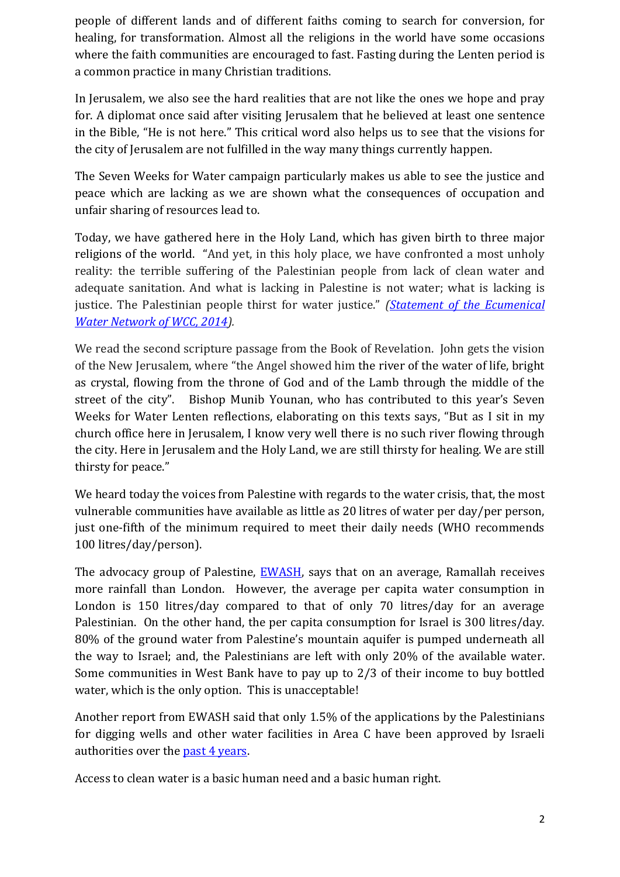people of different lands and of different faiths coming to search for conversion, for healing, for transformation. Almost all the religions in the world have some occasions where the faith communities are encouraged to fast. Fasting during the Lenten period is a common practice in many Christian traditions.

In Jerusalem, we also see the hard realities that are not like the ones we hope and pray for. A diplomat once said after visiting Jerusalem that he believed at least one sentence in the Bible, "He is not here." This critical word also helps us to see that the visions for the city of Jerusalem are not fulfilled in the way many things currently happen.

The Seven Weeks for Water campaign particularly makes us able to see the justice and peace which are lacking as we are shown what the consequences of occupation and unfair sharing of resources lead to.

Today, we have gathered here in the Holy Land, which has given birth to three major religions of the world. "And yet, in this holy place, we have confronted a most unholy reality: the terrible suffering of the Palestinian people from lack of clean water and adequate sanitation. And what is lacking in Palestine is not water; what is lacking is justice. The Palestinian people thirst for water justice." *[\(Statement of the Ecumenical](https://www.oikoumene.org/en/resources/documents/wcc-programmes/justice-diakonia-and-responsibility-for-creation/climate-change-water/ewn-jerusalem-statement?set_language=en)  [Water Network of WCC, 2014\)](https://www.oikoumene.org/en/resources/documents/wcc-programmes/justice-diakonia-and-responsibility-for-creation/climate-change-water/ewn-jerusalem-statement?set_language=en).*

We read the second scripture passage from the Book of Revelation. John gets the vision of the New Jerusalem, where "the Angel showed him the river of the water of life, bright as crystal, flowing from the throne of God and of the Lamb through the middle of the street of the city". Bishop Munib Younan, who has contributed to this year's Seven Weeks for Water Lenten reflections, elaborating on this texts says, "But as I sit in my church office here in Jerusalem, I know very well there is no such river flowing through the city. Here in Jerusalem and the Holy Land, we are still thirsty for healing. We are still thirsty for peace."

We heard today the voices from Palestine with regards to the water crisis, that, the most vulnerable communities have available as little as 20 litres of water per day/per person, just one-fifth of the minimum required to meet their daily needs (WHO recommends 100 litres/day/person).

The advocacy group of Palestine, **EWASH**, says that on an average, Ramallah receives more rainfall than London. However, the average per capita water consumption in London is 150 litres/day compared to that of only 70 litres/day for an average Palestinian. On the other hand, the per capita consumption for Israel is 300 litres/day. 80% of the ground water from Palestine's mountain aquifer is pumped underneath all the way to Israel; and, the Palestinians are left with only 20% of the available water. Some communities in West Bank have to pay up to 2/3 of their income to buy bottled water, which is the only option. This is unacceptable!

Another report from EWASH said that only 1.5% of the applications by the Palestinians for digging wells and other water facilities in Area C have been approved by Israeli authorities over the [past 4 years.](https://twitter.com/Thirsty4Justice/status/694538090086531072/photo/1?ref_src=twsrc%5Etfw)

Access to clean water is a basic human need and a basic human right.